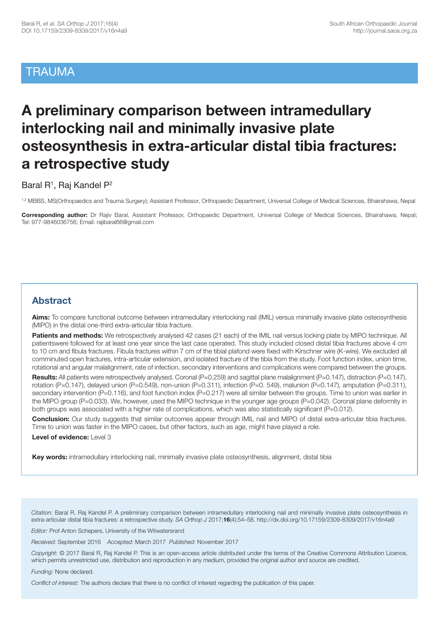## **TRAUMA**

# **A preliminary comparison between intramedullary interlocking nail and minimally invasive plate osteosynthesis in extra-articular distal tibia fractures: a retrospective study**

Baral R<sup>1</sup>, Raj Kandel P<sup>2</sup>

1,2 MBBS, MS(Orthopaedics and Trauma Surgery); Assistant Professor, Orthopaedic Department, Universal College of Medical Sciences, Bhairahawa, Nepal

**Corresponding author:** Dr Rajiv Baral, Assistant Professor, Orthopaedic Department, Universal College of Medical Sciences, Bhairahawa, Nepal; Tel: 977-9846036756; Email: rajibaral66@gmail.com

## **Abstract**

Aims: To compare functional outcome between intramedullary interlocking nail (IMIL) versus minimally invasive plate osteosynthesis (MIPO) in the distal one-third extra-articular tibia fracture.

**Patients and methods:** We retrospectively analysed 42 cases (21 each) of the IMIL nail versus locking plate by MIPO technique. All patientswere followed for at least one year since the last case operated. This study included closed distal tibia fractures above 4 cm to 10 cm and fibula fractures. Fibula fractures within 7 cm of the tibial plafond were fixed with Kirschner wire (K-wire). We excluded all comminuted open fractures, intra-articular extension, and isolated fracture of the tibia from the study. Foot function index, union time, rotational and angular malalignment, rate of infection, secondary interventions and complications were compared between the groups.

Results: All patients were retrospectively analysed. Coronal (P=0.259) and sagittal plane malalignment (P=0.147), distraction (P=0.147), rotation (P=0.147), delayed union (P=0.549), non-union (P=0.311), infection (P=0. 549), malunion (P=0.147), amputation (P=0.311), secondary intervention (P=0.116), and foot function index (P=0.217) were all similar between the groups. Time to union was earlier in the MIPO group (P=0.033). We, however, used the MIPO technique in the younger age groups (P=0.042). Coronal plane deformity in both groups was associated with a higher rate of complications, which was also statistically significant (P=0.012).

**Conclusion:** Our study suggests that similar outcomes appear through IMIL nail and MIPO of distal extra-articular tibia fractures. Time to union was faster in the MIPO cases, but other factors, such as age, might have played a role.

**Level of evidence:** Level 3

**Key words:** intramedullary interlocking nail, minimally invasive plate osteosynthesis, alignment, distal tibia

*Citation:* Baral R, Raj Kandel P. A preliminary comparison between intramedullary interlocking nail and minimally invasive plate osteosynthesis in extra-articular distal tibia fractures: a retrospective study. *SA Orthop J* 2017;**16**(4):54–58. http://dx.doi.org/10.17159/2309-8309/2017/v16n4a9

*Editor:* Prof Anton Schepers, University of the Witwatersrand

*Received:* September 2016 *Accepted:* March 2017 *Published:* November 2017

*Copyright:* © 2017 Baral R, Raj Kandel P. This is an open-access article distributed under the terms of the Creative Commons Attribution Licence, which permits unrestricted use, distribution and reproduction in any medium, provided the original author and source are credited.

*Funding:* None declared.

*Conflict of interest:* The authors declare that there is no conflict of interest regarding the publication of this paper.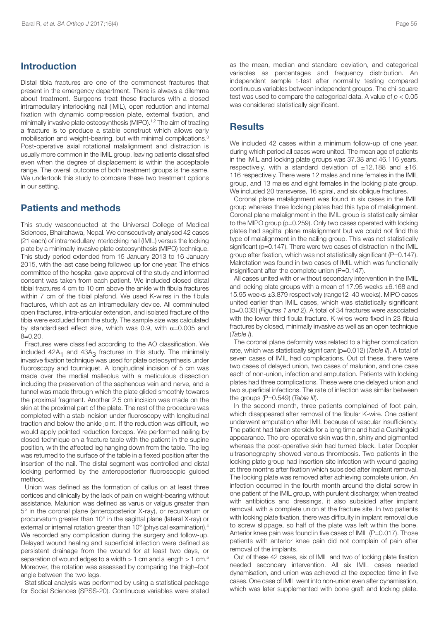### **Introduction**

Distal tibia fractures are one of the commonest fractures that present in the emergency department. There is always a dilemma about treatment. Surgeons treat these fractures with a closed intramedullary interlocking nail (IMIL), open reduction and internal fixation with dynamic compression plate, external fixation, and minimally invasive plate osteosynthesis (MIPO). 1,2 The aim of treating a fracture is to produce a stable construct which allows early mobilisation and weight-bearing, but with minimal complications. 3 Post-operative axial rotational malalignment and distraction is usually more common in the IMIL group, leaving patients dissatisfied even when the degree of displacement is within the acceptable range. The overall outcome of both treatment groups is the same. We undertook this study to compare these two treatment options in our setting.

## **Patients and methods**

This study wasconducted at the Universal College of Medical Sciences, Bhairahawa, Nepal. We consecutively analysed 42 cases (21 each) of intramedullary interlocking nail (IMIL) versus the locking plate by a minimally invasive plate osteosynthesis (MIPO) technique. This study period extended from 15 January 2013 to 16 January 2015, with the last case being followed up for one year. The ethics committee of the hospital gave approval of the study and informed consent was taken from each patient. We included closed distal tibial fractures 4 cm to 10 cm above the ankle with fibula fractures within 7 cm of the tibial plafond. We used K-wires in the fibula fractures, which act as an intramedullary device. All comminuted open fractures, intra-articular extension, and isolated fracture of the tibia were excluded from the study. The sample size was calculated by standardised effect size, which was 0.9, with  $\alpha$ =0.005 and  $B = 0.20$ .

Fractures were classified according to the AO classification. We included  $42A_1$  and  $43A_3$  fractures in this study. The minimally invasive fixation technique was used for plate osteosynthesis under fluoroscopy and tourniquet. A longitudinal incision of 5 cm was made over the medial malleolus with a meticulous dissection including the preservation of the saphenous vein and nerve, and a tunnel was made through which the plate glided smoothly towards the proximal fragment. Another 2.5 cm incision was made on the skin at the proximal part of the plate. The rest of the procedure was completed with a stab incision under fluoroscopy with longitudinal traction and below the ankle joint. If the reduction was difficult, we would apply pointed reduction forceps. We performed nailing by closed technique on a fracture table with the patient in the supine position, with the affected leg hanging down from the table. The leg was returned to the surface of the table in a flexed position after the insertion of the nail. The distal segment was controlled and distal locking performed by the anteroposterior fluoroscopic guided method.

Union was defined as the formation of callus on at least three cortices and clinically by the lack of pain on weight-bearing without assistance. Malunion was defined as varus or valgus greater than 5° in the coronal plane (anteroposterior X-ray), or recurvatum or procurvatum greater than 10° in the sagittal plane (lateral X-ray) or external or internal rotation greater than 10° (physical examination). 4 We recorded any complication during the surgery and follow-up. Delayed wound healing and superficial infection were defined as persistent drainage from the wound for at least two days, or separation of wound edges to a width > 1 cm and a length > 1 cm.<sup>5</sup> Moreover, the rotation was assessed by comparing the thigh–foot angle between the two legs.

Statistical analysis was performed by using a statistical package for Social Sciences (SPSS-20). Continuous variables were stated as the mean, median and standard deviation, and categorical variables as percentages and frequency distribution. An independent sample t-test after normality testing compared continuous variables between independent groups. The chi-square test was used to compare the categorical data. A value of *p* < 0.05 was considered statistically significant.

### **Results**

We included 42 cases within a minimum follow-up of one year, during which period all cases were united. The mean age of patients in the IMIL and locking plate groups was 37.38 and 46.116 years, respectively, with a standard deviation of  $\pm 12.188$  and  $\pm 16$ . 116 respectively. There were 12 males and nine females in the IMIL group, and 13 males and eight females in the locking plate group. We included 20 transverse, 16 spiral, and six oblique fractures.

Coronal plane malalignment was found in six cases in the IMIL group whereas three locking plates had this type of malalignment. Coronal plane malalignment in the IMIL group is statistically similar to the MIPO group (p=0.259). Only two cases operated with locking plates had sagittal plane malalignment but we could not find this type of malalignment in the nailing group. This was not statistically significant (p=0.147). There were two cases of distraction in the IMIL group after fixation, which was not statistically significant (P=0.147). Malrotation was found in two cases of IMIL which was functionally insignificant after the complete union (P=0.147).

All cases united with or without secondary intervention in the IMIL and locking plate groups with a mean of 17.95 weeks ±6.168 and 15.95 weeks ±3.879 respectively (range12–40 weeks). MIPO cases united earlier than IMIL cases, which was statistically significant (p=0.033) (*Figures 1 and 2*). A total of 34 fractures were associated with the lower third fibula fracture. K-wires were fixed in 23 fibula fractures by closed, minimally invasive as well as an open technique (*Table I*).

The coronal plane deformity was related to a higher complication rate, which was statistically significant (p=0.012) (*Table II*). A total of seven cases of IMIL had complications. Out of these, there were two cases of delayed union, two cases of malunion, and one case each of non-union, infection and amputation. Patients with locking plates had three complications. These were one delayed union and two superficial infections. The rate of infection was similar between the groups (P=0.549) (*Table III*).

In the second month, three patients complained of foot pain, which disappeared after removal of the fibular K-wire. One patient underwent amputation after IMIL because of vascular insufficiency. The patient had taken steroids for a long time and had a Cushingoid appearance. The pre-operative skin was thin, shiny and pigmented whereas the post-operative skin had turned black. Later Doppler ultrasonography showed venous thrombosis. Two patients in the locking plate group had insertion-site infection with wound gaping at three months after fixation which subsided after implant removal. The locking plate was removed after achieving complete union. An infection occurred in the fourth month around the distal screw in one patient of the IMIL group, with purulent discharge; when treated with antibiotics and dressings, it also subsided after implant removal, with a complete union at the fracture site. In two patients with locking plate fixation, there was difficulty in implant removal due to screw slippage, so half of the plate was left within the bone. Anterior knee pain was found in five cases of IMIL (P=0.017). Those patients with anterior knee pain did not complain of pain after removal of the implants.

Out of these 42 cases, six of IMIL and two of locking plate fixation needed secondary intervention. All six IMIL cases needed dynamisation, and union was achieved at the expected time in five cases. One case of IMIL went into non-union even after dynamisation, which was later supplemented with bone graft and locking plate.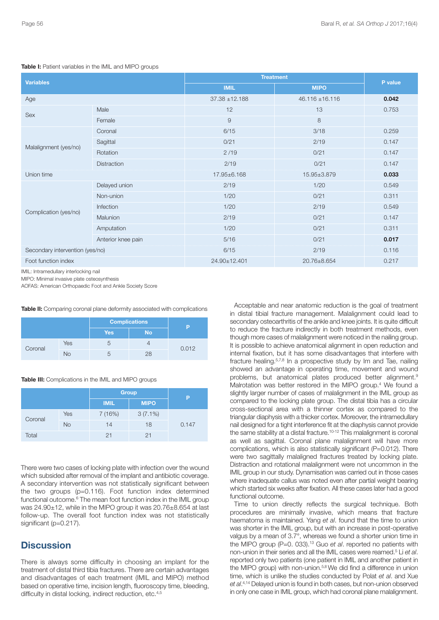| <b>Variables</b>                |                            | <b>Treatment</b>   |                     |         |
|---------------------------------|----------------------------|--------------------|---------------------|---------|
|                                 | <b>IMIL</b><br><b>MIPO</b> |                    |                     | P value |
| Age                             |                            | $37.38 \pm 12.188$ | $46.116 \pm 16.116$ | 0.042   |
| Sex                             | Male                       | 12                 | 13                  | 0.753   |
|                                 | Female                     | $\overline{9}$     | 8                   |         |
| Malalignment (yes/no)           | Coronal                    | 6/15               | 3/18                | 0.259   |
|                                 | Sagittal                   | 0/21               | 2/19                | 0.147   |
|                                 | Rotation                   | 2/19               | 0/21                | 0.147   |
|                                 | <b>Distraction</b>         | 2/19               | 0/21                | 0.147   |
| Union time                      |                            | 17.95±6.168        | 15.95±3.879         | 0.033   |
| Complication (yes/no)           | Delayed union              | 2/19               | 1/20                | 0.549   |
|                                 | Non-union                  | 1/20               | 0/21                | 0.311   |
|                                 | Infection                  | 1/20               | 2/19                | 0.549   |
|                                 | Malunion                   | 2/19               | 0/21                | 0.147   |
|                                 | Amputation                 | 1/20               | 0/21                | 0.311   |
|                                 | Anterior knee pain         | 5/16               | 0/21                | 0.017   |
| Secondary intervention (yes/no) |                            | 6/15               | 2/19                | 0.116   |
| Foot function index             |                            | 24.90±12.401       | 20.76±8.654         | 0.217   |

**Table I:** Patient variables in the IMIL and MIPO groups

IMIL: Intramedullary interlocking nail

MIPO: Minimal invasive plate osteosynthesis

AOFAS: American Orthopaedic Foot and Ankle Society Score

**Table II:** Comparing coronal plane deformity associated with complications

|         |     | <b>Complications</b> |           | D     |
|---------|-----|----------------------|-----------|-------|
|         |     | <b>Yes</b>           | <b>No</b> |       |
| Coronal | Yes |                      |           | 0.012 |
|         | No  |                      | 28        |       |

#### **Table III:** Complications in the IMIL and MIPO groups

|         |           | <b>Group</b> |             | P     |
|---------|-----------|--------------|-------------|-------|
|         |           | <b>IMIL</b>  | <b>MIPO</b> |       |
| Coronal | Yes       | 7(16%)       | $3(7.1\%)$  |       |
|         | <b>No</b> | 14           | 18          | 0.147 |
| Total   |           | 21           | 21          |       |

There were two cases of locking plate with infection over the wound which subsided after removal of the implant and antibiotic coverage. A secondary intervention was not statistically significant between the two groups (p=0.116). Foot function index determined functional outcome. <sup>6</sup> The mean foot function index in the IMIL group was 24.90±12, while in the MIPO group it was 20.76±8.654 at last follow-up. The overall foot function index was not statistically significant (p=0.217).

#### **Discussion**

There is always some difficulty in choosing an implant for the treatment of distal third tibia fractures. There are certain advantages and disadvantages of each treatment (IMIL and MIPO) method based on operative time, incision length, fluoroscopy time, bleeding, difficulty in distal locking, indirect reduction, etc.<sup>4,5</sup>

Acceptable and near anatomic reduction is the goal of treatment in distal tibial fracture management. Malalignment could lead to secondary osteoarthritis of the ankle and knee joints. It is quite difficult to reduce the fracture indirectly in both treatment methods, even though more cases of malalignment were noticed in the nailing group. It is possible to achieve anatomical alignment in open reduction and internal fixation, but it has some disadvantages that interfere with fracture healing.<sup>5,7,8</sup> In a prospective study by Im and Tae, nailing showed an advantage in operating time, movement and wound problems, but anatomical plates produced better alignment.<sup>9</sup> Malrotation was better restored in the MIPO group. <sup>4</sup> We found a slightly larger number of cases of malalignment in the IMIL group as compared to the locking plate group. The distal tibia has a circular cross-sectional area with a thinner cortex as compared to the triangular diaphysis with a thicker cortex. Moreover, the intramedullary nail designed for a tight interference fit at the diaphysis cannot provide the same stability at a distal fracture.<sup>10-12</sup> This malalignment is coronal as well as sagittal. Coronal plane malalignment will have more complications, which is also statistically significant (P=0.012). There were two sagittally malaligned fractures treated by locking plate. Distraction and rotational malalignment were not uncommon in the IMIL group in our study. Dynamisation was carried out in those cases where inadequate callus was noted even after partial weight bearing which started six weeks after fixation. All these cases later had a good functional outcome.

Time to union directly reflects the surgical technique. Both procedures are minimally invasive, which means that fracture haematoma is maintained. Yang *et al*. found that the time to union was shorter in the IMIL group, but with an increase in post-operative valgus by a mean of 3.7°, whereas we found a shorter union time in the MIPO group (P=0. 033). <sup>13</sup> Guo *et al*. reported no patients with non-union in their series and all the IMIL cases were reamed. <sup>5</sup> Li *et al*. reported only two patients (one patient in IMIL and another patient in the MIPO group) with non-union.<sup>5,8</sup> We did find a difference in union time, which is unlike the studies conducted by Polat *et al*. and Xue *et al*. 4,14 Delayed union is found in both cases, but non-union observed in only one case in IMIL group, which had coronal plane malalignment.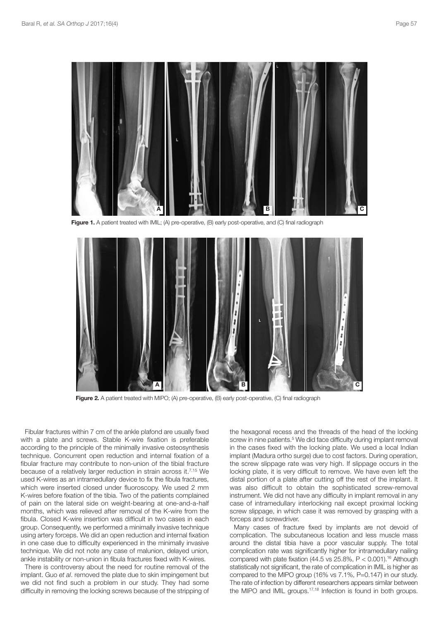

**Figure 1.** A patient treated with IMIL; (A) pre-operative, (B) early post-operative, and (C) final radiograph



**Figure 2.** A patient treated with MIPO; (A) pre-operative, (B) early post-operative, (C) final radiograph

Fibular fractures within 7 cm of the ankle plafond are usually fixed with a plate and screws. Stable K-wire fixation is preferable according to the principle of the minimally invasive osteosynthesis technique. Concurrent open reduction and internal fixation of a fibular fracture may contribute to non-union of the tibial fracture because of a relatively larger reduction in strain across it. 7,15 We used K-wires as an intramedullary device to fix the fibula fractures, which were inserted closed under fluoroscopy. We used 2 mm K-wires before fixation of the tibia. Two of the patients complained of pain on the lateral side on weight-bearing at one-and-a-half months, which was relieved after removal of the K-wire from the fibula. Closed K-wire insertion was difficult in two cases in each group. Consequently, we performed a minimally invasive technique using artery forceps. We did an open reduction and internal fixation in one case due to difficulty experienced in the minimally invasive technique. We did not note any case of malunion, delayed union, ankle instability or non-union in fibula fractures fixed with K-wires.

There is controversy about the need for routine removal of the implant. Guo *et al*. removed the plate due to skin impingement but we did not find such a problem in our study. They had some difficulty in removing the locking screws because of the stripping of

the hexagonal recess and the threads of the head of the locking screw in nine patients. <sup>5</sup> We did face difficulty during implant removal in the cases fixed with the locking plate. We used a local Indian implant (Madura ortho surge) due to cost factors. During operation, the screw slippage rate was very high. If slippage occurs in the locking plate, it is very difficult to remove. We have even left the distal portion of a plate after cutting off the rest of the implant. It was also difficult to obtain the sophisticated screw-removal instrument. We did not have any difficulty in implant removal in any case of intramedullary interlocking nail except proximal locking screw slippage, in which case it was removed by grasping with a forceps and screwdriver.

Many cases of fracture fixed by implants are not devoid of complication. The subcutaneous location and less muscle mass around the distal tibia have a poor vascular supply. The total complication rate was significantly higher for intramedullary nailing compared with plate fixation (44.5 vs  $25.8\%$ ,  $P < 0.001$ ).<sup>16</sup> Although statistically not significant, the rate of complication in IMIL is higher as compared to the MIPO group (16% vs 7.1%, P=0.147) in our study. The rate of infection by different researchers appears similar between the MIPO and IMIL groups. 17,18 Infection is found in both groups.